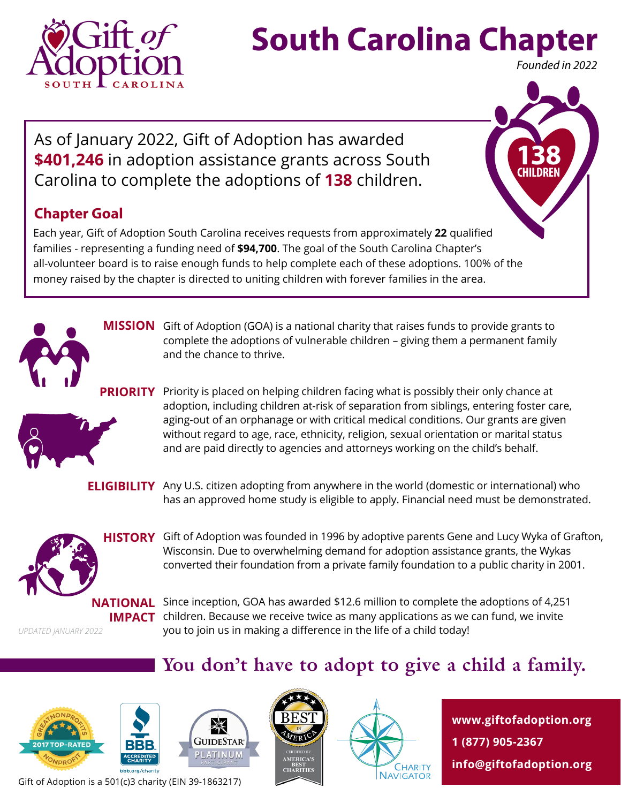

# **South Carolina Chapter**

*Founded in 2022*

**138 CHILDREN**

As of January 2022, Gift of Adoption has awarded **\$401,246** in adoption assistance grants across South Carolina to complete the adoptions of **138** children.

#### **Chapter Goal**

Each year, Gift of Adoption South Carolina receives requests from approximately **22** qualified families - representing a funding need of **\$94,700**. The goal of the South Carolina Chapter's all-volunteer board is to raise enough funds to help complete each of these adoptions. 100% of the money raised by the chapter is directed to uniting children with forever families in the area.



**MISSION** Gift of Adoption (GOA) is a national charity that raises funds to provide grants to complete the adoptions of vulnerable children – giving them a permanent family and the chance to thrive.



**PRIORITY** Priority is placed on helping children facing what is possibly their only chance at adoption, including children at-risk of separation from siblings, entering foster care, aging-out of an orphanage or with critical medical conditions. Our grants are given without regard to age, race, ethnicity, religion, sexual orientation or marital status and are paid directly to agencies and attorneys working on the child's behalf.

**ELIGIBILITY** Any U.S. citizen adopting from anywhere in the world (domestic or international) who has an approved home study is eligible to apply. Financial need must be demonstrated.



**HISTORY** Gift of Adoption was founded in 1996 by adoptive parents Gene and Lucy Wyka of Grafton, Wisconsin. Due to overwhelming demand for adoption assistance grants, the Wykas converted their foundation from a private family foundation to a public charity in 2001.

*UPDATED JANUARY 2022*

**NATIONAL** Since inception, GOA has awarded \$12.6 million to complete the adoptions of 4,251 **IMPACT** children. Because we receive twice as many applications as we can fund, we invite you to join us in making a difference in the life of a child today!

#### **You don't have to adopt to give a child a family.**









**www.giftofadoption.org 1 (877) 905-2367 info@giftofadoption.org**